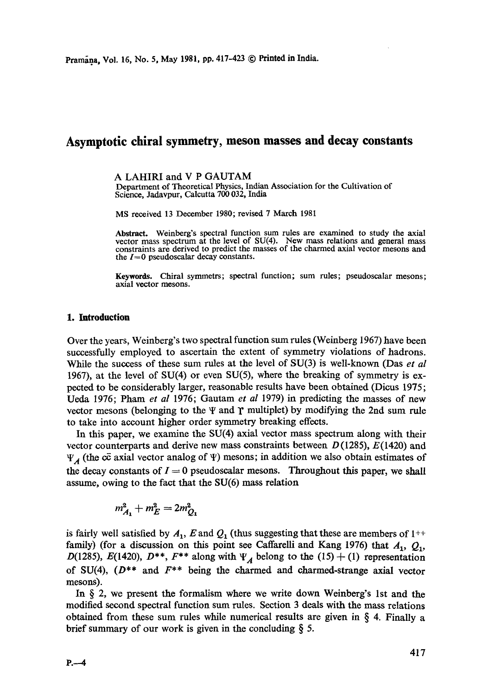# **Asymptotic chiral symmetry, meson masses and decay constants**

A LAHIRI and V P GAUTAM

Department of Theoretical Physics, Indian Association for the Cultivation of Science, Jadavpur, Calcutta 700 032, India

MS received 13 December 1980; revised 7 March 1981

**Abstract.** Weinberg's spectral function sum rules are examined to study the axial vector mass spectrum at the level of SU(4). New mass relations and general mass constraints are derived to predict the masses of the charmed axial vector mesons and the  $I=0$  pseudoscalar decay constants.

**Keywords.** Chiral symmetrs; spectral function; sum rules; pseudoscalar mesons; axial vector mesons.

#### **1. Introduction**

Over the years, Weinberg's two spectral function sum rules (Weinberg 1967) have been successfully employed to ascertain the extent of symmetry violations of hadrons. While the success of these sum rules at the level of SU(3) is well-known (Das *et al*  1967), at the level of SU(4) or even SU(5), where the breaking of symmetry is expected to be considerably larger, reasonable results have been obtained (Dicus 1975; Ueda 1976; Pham *et al* 1976; Gautam *et al* 1979) in predicting the masses of new vector mesons (belonging to the  $\Psi$  and  $\Upsilon$  multiplet) by modifying the 2nd sum rule to take into account higher order symmetry breaking effects.

In this paper, we examine the SU(4) axial vector mass spectrum along with their vector counterparts and derive new mass constraints between  $D(1285)$ ,  $E(1420)$  and  $\Psi_{\mathcal{A}}$  (the c $\vec{c}$  axial vector analog of  $\Psi$ ) mesons; in addition we also obtain estimates of the decay constants of  $I = 0$  pseudoscalar mesons. Throughout this paper, we shall assume, owing to the fact that the SU(6) mass relation

$$
m_{A_1}^2 + m_E^2 = 2m_{Q_1}^2
$$

is fairly well satisfied by  $A_1$ , E and  $Q_1$  (thus suggesting that these are members of 1<sup>++</sup> family) (for a discussion on this point see Caffarelli and Kang 1976) that  $A_1$ ,  $Q_1$ , D(1285), E(1420), D<sup>\*\*</sup>, F<sup>\*\*</sup> along with  $\Psi_A$  belong to the (15) + (1) representation of SU(4),  $(D^{**}$  and  $F^{**}$  being the charmed and charmed-strange axial vector mesons).

In § 2, we present the formalism where we write down Weinberg's 1st and the modified second spectral function sum rules. Section 3 deals with the mass relations obtained from these sum rules while numerical results are given in  $\S$  4. Finally a brief summary of our work is given in the concluding § 5.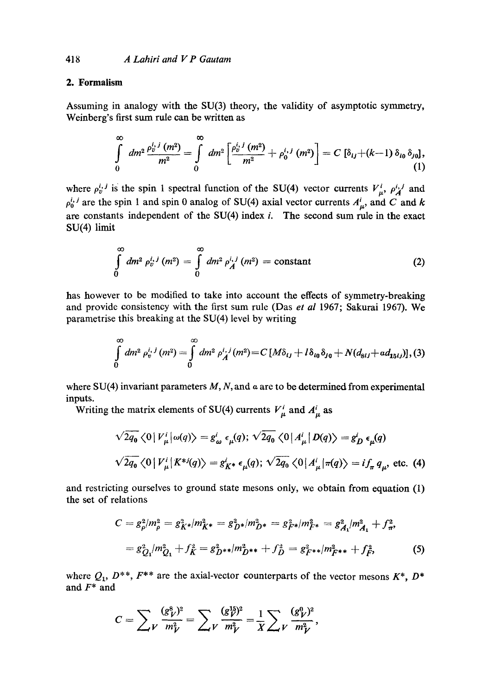# **2. Formalism**

Assuming in analogy with the SU(3) theory, the validity of asymptotic symmetry, Weinberg's first sum rule can be written as

$$
\int_{0}^{\infty} dm^{2} \frac{\rho_{v}^{i,j}(m^{2})}{m^{2}} = \int_{0}^{\infty} dm^{2} \left[ \frac{\rho_{v}^{i,j}(m^{2})}{m^{2}} + \rho_{0}^{i,j}(m^{2}) \right] = C \left[ \delta_{ij} + (k-1) \delta_{i0} \delta_{j0} \right],
$$
\n(1)

where  $\rho_v^{i,j}$  is the spin 1 spectral function of the SU(4) vector currents  $V^i_{\mu}$ ,  $\rho_A^{i,j}$  and  $\rho_0^{i,j}$  are the spin 1 and spin 0 analog of SU(4) axial vector currents  $A^i_{\mu}$ , and C and k are constants independent of the  $SU(4)$  index *i*. The second sum rule in the exact SU(4) limit

$$
\int_{0}^{\infty} dm^{2} \rho_{v}^{i,j}(m^{2}) = \int_{0}^{\infty} dm^{2} \rho_{A}^{i,j}(m^{2}) = \text{constant}
$$
 (2)

has however to be modified to take into account the effects of symmetry-breaking and provide consistency with the first sum rule (Das *et al* 1967; Sakurai 1967). We parametrise this breaking at the SU(4) level by writing

$$
\int_{0}^{\infty} dm^{2} \rho_{v}^{i,j}(m^{2}) = \int_{0}^{\infty} dm^{2} \rho_{A}^{i,j}(m^{2}) = C \left[M\delta_{ij} + l\delta_{i0}\delta_{j0} + N(d_{8ij} + \alpha d_{15ij})\right], (3)
$$

where SU(4) invariant parameters  $M$ ,  $N$ , and  $\alpha$  are to be determined from experimental inputs.

Writing the matrix elements of SU(4) currents  $V^i_\mu$  and  $A^i_\mu$  as

$$
\sqrt{2q_0} \langle 0 | V^i_\mu | \omega(q) \rangle = g^i_\omega \epsilon_\mu(q); \sqrt{2q_0} \langle 0 | A^i_\mu | D(q) \rangle = g^i_D \epsilon_\mu(q)
$$
  

$$
\sqrt{2q_0} \langle 0 | V^i_\mu | K^{*j}(q) \rangle = g^i_{K^*} \epsilon_\mu(q); \sqrt{2q_0} \langle 0 | A^i_\mu | \pi(q) \rangle = if_\pi q_\mu, \text{ etc. (4)}
$$

and restricting ourselves to ground state mesons only, we obtain from equation (1) the set of relations

$$
C = g_{\rho}^{2}/m_{\rho}^{2} = g_{K^{*}}^{2}/m_{K^{*}}^{2} = g_{D^{*}}^{2}/m_{D^{*}}^{2} = g_{F^{*}}^{2}/m_{F^{*}}^{2} = g_{A_{1}}^{2}/m_{A_{1}}^{2} + f_{\pi}^{2},
$$
  
=  $g_{Q_{1}}^{2}/m_{Q_{1}}^{2} + f_{K}^{2} = g_{D^{**}}^{2}/m_{D^{**}}^{2} + f_{D}^{2} = g_{F^{**}}^{2}/m_{F^{**}}^{2} + f_{F}^{2},$  (5)

where  $Q_1$ ,  $D^{**}$ ,  $F^{**}$  are the axial-vector counterparts of the vector mesons  $K^*$ ,  $D^*$ and F\* and

$$
C = \sum_{V} \frac{(g_V^8)^2}{m_V^2} = \sum_{V} \frac{(g_V^{15})^2}{m_V^2} = \frac{1}{X} \sum_{V} \frac{(g_V^0)^2}{m_V^2},
$$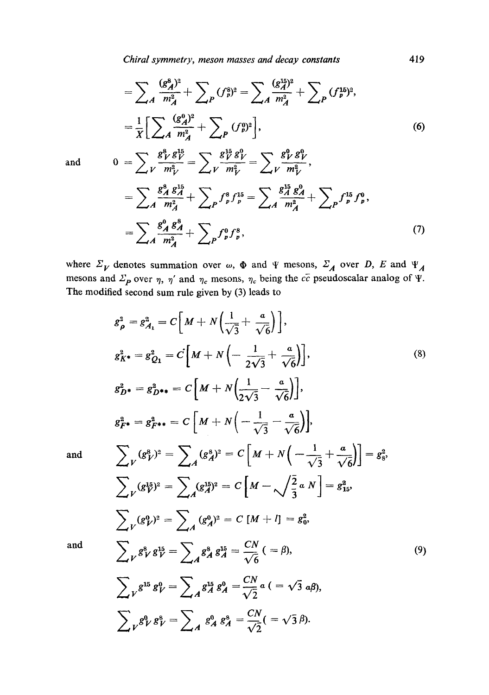*Chiral symmetry, meson masses and decay constants* 419

$$
= \sum_{A} \frac{(g_A^8)^2}{m_A^2} + \sum_{P} (f_P^8)^2 = \sum_{A} \frac{(g_A^{15})^2}{m_A^2} + \sum_{P} (f_P^{15})^2,
$$
  

$$
= \frac{1}{X} \Big[ \sum_{A} \frac{(g_A^0)^2}{m_A^2} + \sum_{P} (f_P^9)^2 \Big],
$$
  
and 
$$
0 = \sum_{A} \frac{g_Y^8}{m_A^8} = \sum_{A} \frac{g_Y^8}{m_A^8} = \sum_{A} \frac{g_Y^8}{m_A^8}.
$$
 (6)

$$
\begin{split}\n&\angle V \, m_V^2 \, \angle V \, m_V^2 \, \angle V \, m_V^2 \\
&= \sum_A \frac{g_A^3 \, g_A^{15}}{m_A^2} + \sum_P f_p^8 f_p^{15} = \sum_A \frac{g_A^{15} \, g_A^0}{m_A^2} + \sum_P f_p^{15} f_p^0, \\
&= \sum_A \frac{g_A^0 \, g_A^8}{m_A^2} + \sum_P f_p^0 f_p^8,\n\end{split} \tag{7}
$$

where  $\Sigma_V$  denotes summation over  $\omega$ ,  $\Phi$  and  $\Psi$  mesons,  $\Sigma_A$  over D, E and  $\Psi_A$ mesons and  $\Sigma_p$  over  $\eta$ ,  $\eta'$  and  $\eta_c$  mesons,  $\eta_c$  being the  $c\bar{c}$  pseudoscalar analog of  $\tilde{\Psi}$ . The modified second sum rule given by (3) leads to

$$
g_{\rho}^{2} = g_{A_{1}}^{2} = C \left[ M + N \left( \frac{1}{\sqrt{3}} + \frac{a}{\sqrt{6}} \right) \right],
$$
  
\n
$$
g_{K}^{2} \cdot g_{C_{1}}^{2} = c \left[ M + N \left( -\frac{1}{2\sqrt{3}} + \frac{a}{\sqrt{6}} \right) \right],
$$
  
\n
$$
g_{D}^{2} \cdot g_{D}^{2} \cdot g_{D}^{2} \cdot g_{D}^{2} \cdot g_{D}^{2} \cdot g_{D}^{2} \cdot g_{D}^{2} \cdot g_{D}^{2} \cdot g_{D}^{2} \cdot g_{D}^{2} \cdot g_{D}^{2} \cdot g_{D}^{2} \cdot g_{D}^{2} \cdot g_{D}^{2} \cdot g_{D}^{2} \cdot g_{D}^{2} \cdot g_{D}^{2} \cdot g_{D}^{2} \cdot g_{D}^{2} \cdot g_{D}^{2} \cdot g_{D}^{2} \cdot g_{D}^{2} \cdot g_{D}^{2} \cdot g_{D}^{2} \cdot g_{D}^{2} \cdot g_{D}^{2} \cdot g_{D}^{2} \cdot g_{D}^{2} \cdot g_{D}^{2} \cdot g_{D}^{2} \cdot g_{D}^{2} \cdot g_{D}^{2} \cdot g_{D}^{2} \cdot g_{D}^{2} \cdot g_{D}^{2} \cdot g_{D}^{2} \cdot g_{D}^{2} \cdot g_{D}^{2} \cdot g_{D}^{2} \cdot g_{D}^{2} \cdot g_{D}^{2} \cdot g_{D}^{2} \cdot g_{D}^{2} \cdot g_{D}^{2} \cdot g_{D}^{2} \cdot g_{D}^{2} \cdot g_{D}^{2} \cdot g_{D}^{2} \cdot g_{D}^{2} \cdot g_{D}^{2} \cdot g_{D}^{2} \cdot g_{D}^{2} \cdot g_{D}^{2} \cdot g_{D}^{2} \cdot g_{D}^{2} \cdot g_{D}^{2} \cdot g_{D}^{2} \cdot g_{D}^{2} \cdot g_{D}^{2} \cdot g_{D}^{2} \cdot g_{D}^{2} \cdot g_{D}^{2} \cdot g_{D}^{2} \cdot g_{D}^{2} \cdot g_{D}^{2} \cdot g_{D}^{2} \cdot g_{D}^{2} \cdot g_{D}^{2} \cdot g_{D}^{2} \cdot
$$

and

and

$$
\sum_{\nu} g^{15} g_{\nu}^0 = \sum_{A} g^{15}_{A} g_{A}^0 = \frac{CN}{\sqrt{2}} a \ ( = \sqrt{3} \ a\beta),
$$
  

$$
\sum_{\nu} g_{\nu}^0 g_{\nu}^8 = \sum_{A} g_A^0 g_A^8 = \frac{CN}{\sqrt{2}} (= \sqrt{3} \ \beta).
$$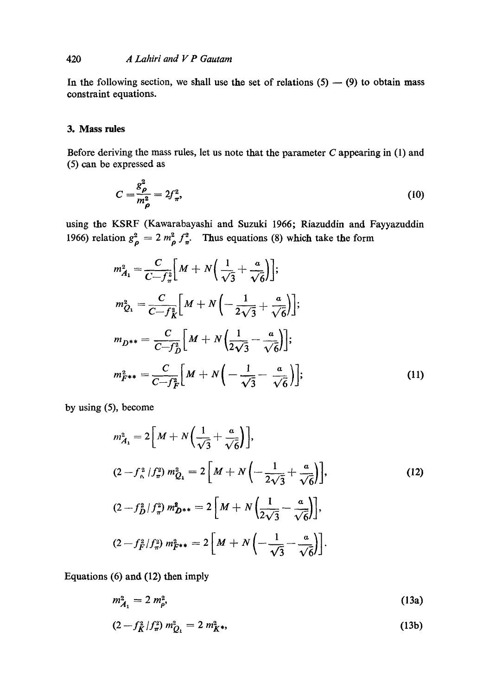### 420 *A Lahiri and V P Gautam*

In the following section, we shall use the set of relations  $(5) - (9)$  to obtain mass constraint equations.

#### **3. Mass rules**

Before deriving the mass rules, let us note that the parameter C appearing in (1) and (5) can be expressed as

$$
C = \frac{g_{\rho}^2}{m_{\rho}^2} = 2f_{\pi}^2,\tag{10}
$$

using the KSRF (Kawarabayashi and Suzuki 1966; Riazuddin and Fayyazuddin 1966) relation  $g_{\rho}^2 = 2 m_{\rho}^2 f_{\pi}^2$ . Thus equations (8) which take the form

$$
m_{A_1}^2 = \frac{C}{C - f_{\pi}^2} \Big[ M + N \Big( \frac{1}{\sqrt{3}} + \frac{a}{\sqrt{6}} \Big) \Big];
$$
  
\n
$$
m_{Q_1}^2 = \frac{C}{C - f_{K}^2} \Big[ M + N \Big( - \frac{1}{2\sqrt{3}} + \frac{a}{\sqrt{6}} \Big) \Big];
$$
  
\n
$$
m_{D^{**}} = \frac{C}{C - f_{D}^2} \Big[ M + N \Big( \frac{1}{2\sqrt{3}} - \frac{a}{\sqrt{6}} \Big) \Big];
$$
  
\n
$$
m_{\tilde{F}^{**}}^2 = \frac{C}{C - f_{F}^2} \Big[ M + N \Big( - \frac{1}{\sqrt{3}} - \frac{a}{\sqrt{6}} \Big) \Big];
$$
\n(11)

by using (5), become

$$
m_{A_1}^2 = 2\left[M + N\left(\frac{1}{\sqrt{3}} + \frac{a}{\sqrt{6}}\right)\right],
$$
  
\n
$$
(2 - f_{\alpha}^2/f_{\pi}^2) m_{Q_1}^2 = 2\left[M + N\left(-\frac{1}{2\sqrt{3}} + \frac{a}{\sqrt{6}}\right)\right],
$$
  
\n
$$
(2 - f_{D}^2/f_{\pi}^2) m_{D^{**}}^2 = 2\left[M + N\left(\frac{1}{2\sqrt{3}} - \frac{a}{\sqrt{6}}\right)\right],
$$
  
\n
$$
(2 - f_{F}^2/f_{\pi}^2) m_{F^{**}}^2 = 2\left[M + N\left(-\frac{1}{\sqrt{3}} - \frac{a}{\sqrt{6}}\right)\right].
$$
  
\n(12)

Equations (6) and (12) then imply

$$
m_{A_1}^2 = 2 m_{\rho}^2, \tag{13a}
$$

$$
(2 - f_K^2/f_\pi^2) m_{Q_1}^2 = 2 m_{K^*}^2,
$$
\n(13b)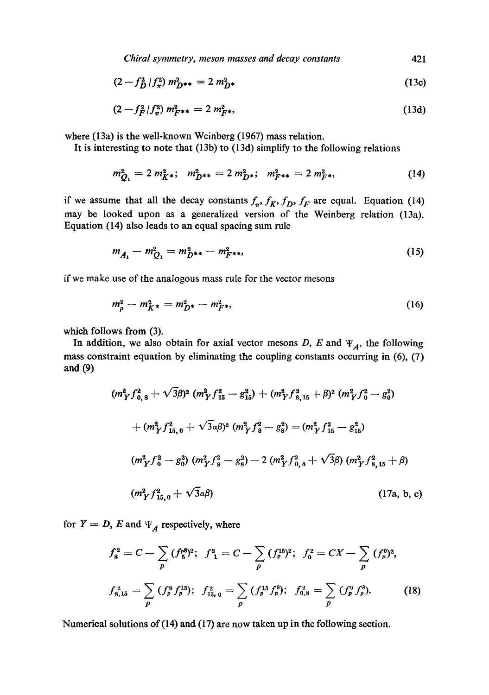*Chiral symmetry, meson masses and decay constants* 421

$$
(2 - f_D^2 / f_\pi^2) m_{D^{**}}^2 = 2 m_{D^*}^2
$$
 (13c)

$$
(2 - f_F^2/f_\pi^2) m_{F^{**}}^2 = 2 m_{F^{**}}^2,
$$
\n(13d)

where (13a) is the well-known Weinberg (1967) mass relation.

It is interesting to note that (13b) to (13d) simplify to the following relations

$$
m_{Q_1}^2 = 2 m_{K^*}^2; \quad m_{D^{**}}^2 = 2 m_{D^*}^2; \quad m_{F^{**}}^2 = 2 m_{F^*}^2,
$$
 (14)

if we assume that all the decay constants  $f_{\pi}$ ,  $f_K$ ,  $f_D$ ,  $f_F$  are equal. Equation (14) may be looked upon as a generalized version of the Weinberg relation (13a). Equation (14) also leads to an equal spacing sum rule

$$
m_{A_1} - m_{Q_1}^2 = m_{D^{**}}^2 - m_{F^{**}}^2,
$$
\n(15)

if we make use of the analogous mass rule for the vector mesons

$$
m_{\rho}^2 - m_{K^*}^2 = m_{D^*}^2 - m_{F^*}^2,\tag{16}
$$

which follows from  $(3)$ .

In addition, we also obtain for axial vector mesons D, E and  $\Psi_A$ , the following mass constraint equation by eliminating the coupling constants occurring in (6), (7) and (9)

$$
(m_{Y}^{2} f_{0,8}^{2} + \sqrt{3}\beta)^{2} (m_{Y}^{2} f_{15}^{2} - g_{15}^{2}) + (m_{Y}^{2} f_{8,15}^{2} + \beta)^{2} (m_{Y}^{2} f_{0}^{2} - g_{0}^{2})
$$
  
+ 
$$
(m_{Y}^{2} f_{15,0}^{2} + \sqrt{3}\alpha\beta)^{2} (m_{Y}^{2} f_{8}^{2} - g_{8}^{2}) = (m_{Y}^{2} f_{15}^{2} - g_{15}^{2})
$$
  

$$
(m_{Y}^{2} f_{0}^{2} - g_{0}^{2}) (m_{Y}^{2} f_{8}^{2} - g_{8}^{2}) - 2 (m_{Y}^{2} f_{0,8}^{2} + \sqrt{3}\beta) (m_{Y}^{2} f_{8,15}^{2} + \beta)
$$
  

$$
(m_{Y}^{2} f_{15,0}^{2} + \sqrt{3}\alpha\beta)
$$
  
(17a, b, c)

for  $Y = D$ , E and  $\Psi_A$  respectively, where

$$
f_8^2 = C - \sum_p (f_p^8)^2; \quad f_1^2 = C - \sum_p (f_p^{15})^2; \quad f_0^2 = CX - \sum_p (f_p^0)^2;
$$
  

$$
f_{8,15}^2 = \sum_p (f_p^8 f_p^{15}); \quad f_{15,0}^2 = \sum_p (f_p^{15} f_p^0); \quad f_{0,8}^2 = \sum_p (f_p^0 f_p^3).
$$
 (18)

Numerical solutions of (14) and (17) are now taken up in the following section.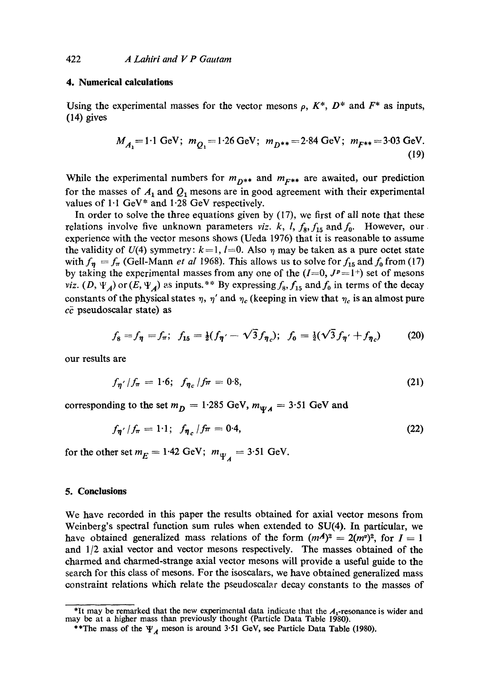#### **4. Numerical calculations**

Using the experimental masses for the vector mesons  $\rho$ ,  $K^*$ ,  $D^*$  and  $F^*$  as inputs, (14) gives

$$
M_{A_1} = 1.1 \text{ GeV}; \ m_{Q_1} = 1.26 \text{ GeV}; \ m_{D^{**}} = 2.84 \text{ GeV}; \ m_{F^{**}} = 3.03 \text{ GeV}.
$$
\n(19)

While the experimental numbers for  $m_{D^{**}}$  and  $m_{F^{**}}$  are awaited, our prediction for the masses of  $A_1$  and  $Q_1$  mesons are in good agreement with their experimental values of 1.1 GeV\* and 1.28 GeV respectively.

In order to solve the three equations given by (17), we first of all note that these relations involve five unknown parameters *viz. k, l,*  $f_8$ ,  $f_{15}$  and  $f_0$ . However, our experience with the vector mesons shows (Ueda 1976) that it is reasonable to assume the validity of  $U(4)$  symmetry:  $k=1$ ,  $l=0$ . Also  $\eta$  may be taken as a pure octet state with  $f_{\eta} = f_{\pi}$  (Gell-Mann *et al* 1968). This allows us to solve for  $f_{15}$  and  $f_0$  from (17) by taking the experimental masses from any one of the  $(I=0, J^p=1^+)$  set of mesons *viz.* (D,  $\Psi_A$ ) or (E,  $\Psi_A$ ) as inputs.\*\* By expressing  $f_8$ ,  $f_{15}$  and  $f_0$  in terms of the decay constants of the physical states  $\eta$ ,  $\eta'$  and  $\eta_c$  (keeping in view that  $\eta_c$  is an almost pure  $c\bar{c}$  pseudoscalar state) as

$$
f_8 = f_{\eta} = f_{\pi}; \ \ f_{15} = \frac{1}{2}(f_{\eta'} - \sqrt{3}f_{\eta_c}); \ \ f_0 = \frac{1}{2}(\sqrt{3}f_{\eta'} + f_{\eta_c}) \tag{20}
$$

our results are

$$
f_{\eta'}/f_{\pi} = 1.6; \ \ f_{\eta_c}/f_{\pi} = 0.8, \tag{21}
$$

corresponding to the set  $m_D = 1.285$  GeV,  $m_{\Psi A} = 3.51$  GeV and

$$
f_{\pmb{\eta'}}/f_{\pmb{\pi}} = 1.1; \ \ f_{\pmb{\eta}_c}/f_{\pmb{\pi}} = 0.4, \tag{22}
$$

for the other set  $m_E = 1.42$  GeV;  $m_{\Psi_A} = 3.51$  GeV.

#### **5. Conclusions**

We have recorded in this paper the results obtained for axial vector mesons from Weinberg's spectral function sum rules when extended to SU(4). In particular, we have obtained generalized mass relations of the form  $(mA)^2 = 2(m^2)^2$ , for  $I = 1$ and 1/2 axial vector and vector mesons respectively. The masses obtained of the charmed and charmed-strange axial vector mesons will provide a useful guide to the search for this class of mesons. For the isoscalars, we have obtained generalized mass constraint relations which relate the pseudoscalar decay constants to the masses of

<sup>&</sup>lt;sup>\*</sup>It may be remarked that the new experimental data indicate that the  $A_1$ -resonance is wider and may be at a higher mass than previously thought (Particle Data Table 1980).

<sup>\*\*</sup>The mass of the  $\Psi_A$  meson is around 3.51 GeV, see Particle Data Table (1980).